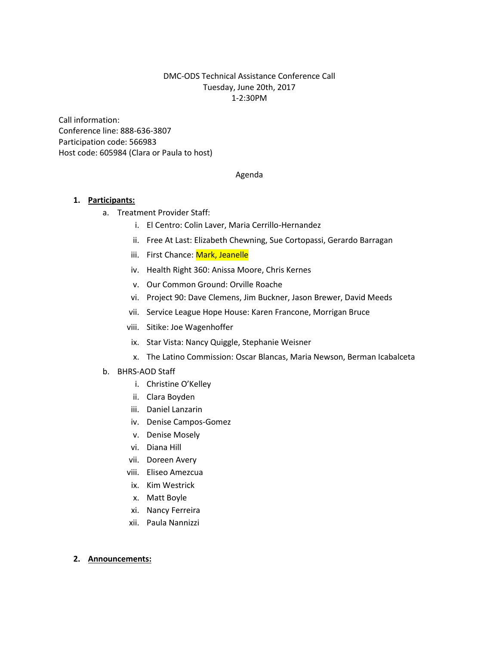#### DMC-ODS Technical Assistance Conference Call Tuesday, June 20th, 2017 1-2:30PM

Call information: Conference line: 888-636-3807 Participation code: 566983 Host code: 605984 (Clara or Paula to host)

#### Agenda

#### **1. Participants:**

- a. Treatment Provider Staff:
	- i. El Centro: Colin Laver, Maria Cerrillo-Hernandez
	- ii. Free At Last: Elizabeth Chewning, Sue Cortopassi, Gerardo Barragan
	- iii. First Chance: Mark, Jeanelle
	- iv. Health Right 360: Anissa Moore, Chris Kernes
	- v. Our Common Ground: Orville Roache
	- vi. Project 90: Dave Clemens, Jim Buckner, Jason Brewer, David Meeds
	- vii. Service League Hope House: Karen Francone, Morrigan Bruce
	- viii. Sitike: Joe Wagenhoffer
	- ix. Star Vista: Nancy Quiggle, Stephanie Weisner
	- x. The Latino Commission: Oscar Blancas, Maria Newson, Berman Icabalceta
- b. BHRS-AOD Staff
	- i. Christine O'Kelley
	- ii. Clara Boyden
	- iii. Daniel Lanzarin
	- iv. Denise Campos-Gomez
	- v. Denise Mosely
	- vi. Diana Hill
	- vii. Doreen Avery
	- viii. Eliseo Amezcua
	- ix. Kim Westrick
	- x. Matt Boyle
	- xi. Nancy Ferreira
	- xii. Paula Nannizzi

#### **2. Announcements:**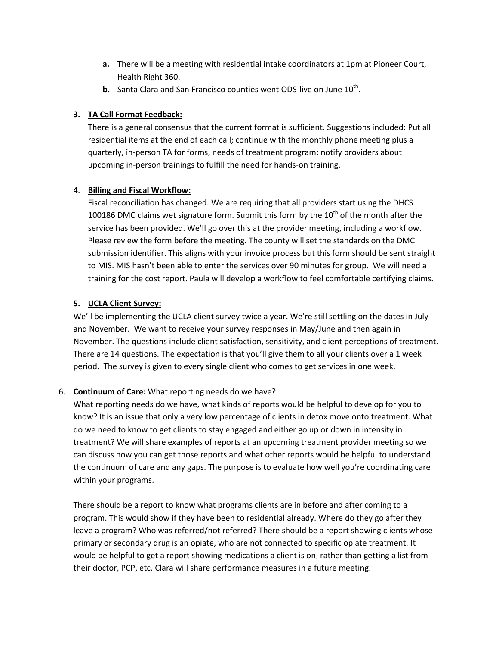- **a.** There will be a meeting with residential intake coordinators at 1pm at Pioneer Court, Health Right 360.
- **b.** Santa Clara and San Francisco counties went ODS-live on June  $10<sup>th</sup>$ .

# **3. TA Call Format Feedback:**

There is a general consensus that the current format is sufficient. Suggestions included: Put all residential items at the end of each call; continue with the monthly phone meeting plus a quarterly, in-person TA for forms, needs of treatment program; notify providers about upcoming in-person trainings to fulfill the need for hands-on training.

# 4. **Billing and Fiscal Workflow:**

Fiscal reconciliation has changed. We are requiring that all providers start using the DHCS 100186 DMC claims wet signature form. Submit this form by the  $10^{th}$  of the month after the service has been provided. We'll go over this at the provider meeting, including a workflow. Please review the form before the meeting. The county will set the standards on the DMC submission identifier. This aligns with your invoice process but this form should be sent straight to MIS. MIS hasn't been able to enter the services over 90 minutes for group. We will need a training for the cost report. Paula will develop a workflow to feel comfortable certifying claims.

# **5. UCLA Client Survey:**

We'll be implementing the UCLA client survey twice a year. We're still settling on the dates in July and November. We want to receive your survey responses in May/June and then again in November. The questions include client satisfaction, sensitivity, and client perceptions of treatment. There are 14 questions. The expectation is that you'll give them to all your clients over a 1 week period. The survey is given to every single client who comes to get services in one week.

# 6. **Continuum of Care:** What reporting needs do we have?

What reporting needs do we have, what kinds of reports would be helpful to develop for you to know? It is an issue that only a very low percentage of clients in detox move onto treatment. What do we need to know to get clients to stay engaged and either go up or down in intensity in treatment? We will share examples of reports at an upcoming treatment provider meeting so we can discuss how you can get those reports and what other reports would be helpful to understand the continuum of care and any gaps. The purpose is to evaluate how well you're coordinating care within your programs.

There should be a report to know what programs clients are in before and after coming to a program. This would show if they have been to residential already. Where do they go after they leave a program? Who was referred/not referred? There should be a report showing clients whose primary or secondary drug is an opiate, who are not connected to specific opiate treatment. It would be helpful to get a report showing medications a client is on, rather than getting a list from their doctor, PCP, etc. Clara will share performance measures in a future meeting.